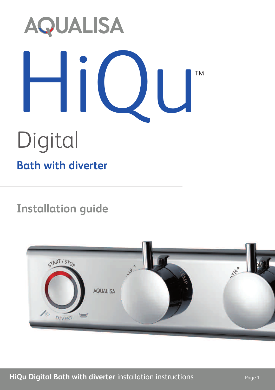# **AQUALISA** HiUl TMDigital **Bath with diverter**

## **Installation guide**

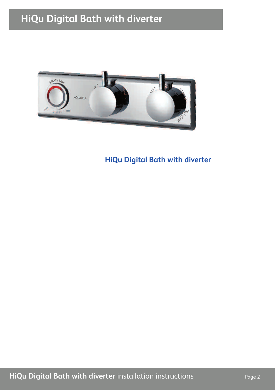### **HiQu Digital Bath with diverter**



**HiQu Digital Bath with diverter**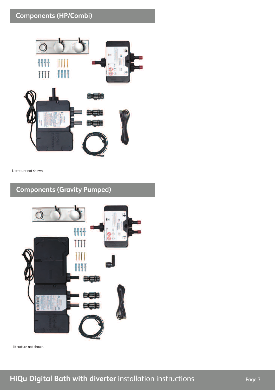#### **Components (HP/Combi)**



Literature not shown.

#### **Components (Gravity Pumped)**



Literature not shown.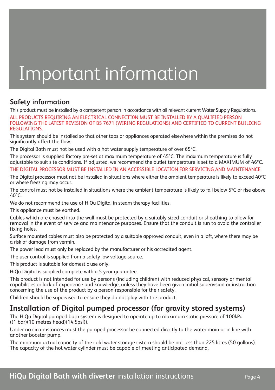# Important information

#### **Safety information**

This product must be installed by a competent person in accordance with all relevant current Water Supply Regulations.

ALL PRODUCTS REQUIRING AN ELECTRICAL CONNECTI0N MUST BE INSTALLED BY A QUALIFIED PERSON FOLLOWING THE LATEST REVISION OF BS 7671 (WIRING REGULATIONS) AND CERTIFIED TO CURRENT BUILDING REGULATIONS.

This system should be installed so that other taps or appliances operated elsewhere within the premises do not significantly affect the flow.

The Digital Bath must not be used with a hot water supply temperature of over 65ºC.

The processor is supplied factory pre-set at maximum temperature of 45ºC. The maximum temperature is fully adjustable to suit site conditions. If adjusted, we recommend the outlet temperature is set to a MAXIMUM of 46ºC.

THE DIGITAL PROCESSOR MUST BE INSTALLED IN AN ACCESSIBLE LOCATION FOR SERVICING AND MAINTENANCE.

The Digital processor must not be installed in situations where either the ambient temperature is likely to exceed 40ºC or where freezing may occur.

The control must not be installed in situations where the ambient temperature is likely to fall below 5ºC or rise above 40ºC.

We do not recommend the use of HiQu Digital in steam therapy facilities.

This appliance must be earthed.

Cables which are chased into the wall must be protected by a suitably sized conduit or sheathing to allow for removal in the event of service and maintenance purposes. Ensure that the conduit is run to avoid the controller fixing holes.

Surface mounted cables must also be protected by a suitable approved conduit, even in a loft, where there may be a risk of damage from vermin.

The power lead must only be replaced by the manufacturer or his accredited agent.

The user control is supplied from a safety low voltage source.

This product is suitable for domestic use only.

HiQu Digital is supplied complete with a 5 year guarantee.

This product is not intended for use by persons (including children) with reduced physical, sensory or mental capabilities or lack of experience and knowledge, unless they have been given initial supervision or instruction concerning the use of the product by a person responsible for their safety.

Children should be supervised to ensure they do not play with the product.

#### **Installation of Digital pumped processor (for gravity stored systems)**

The HiQu Digital pumped bath system is designed to operate up to maximum static pressure of 100kPa ((1 bar)(10 metres head)(14.5psi)).

Under no circumstances must the pumped processor be connected directly to the water main or in line with another booster pump.

The minimum actual capacity of the cold water storage cistern should be not less than 225 litres (50 gallons). The capacity of the hot water cylinder must be capable of meeting anticipated demand.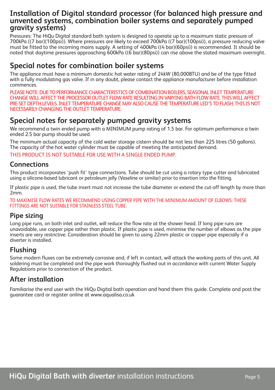#### **Installation of Digital standard processor (for balanced high pressure and unvented systems, combination boiler systems and separately pumped gravity systems)**

Pressures: The HiQu Digital standard bath system is designed to operate up to a maximum static pressure of 700kPa ((7 bar)(100psi)). Where pressures are likely to exceed 700kPa ((7 bar)(100psi)), a pressure reducing valve must be fitted to the incoming mains supply. A setting of 400kPa ((4 bar)(60psi)) is recommended. It should be noted that daytime pressures approaching 600kPa ((6 bar)(80psi)) can rise above the stated maximum overnight.

#### **Special notes for combination boiler systems**

The appliance must have a minimum domestic hot water rating of 24kW (80,000BTU) and be of the type fitted with a fully modulating gas valve. If in any doubt, please contact the appliance manufacturer before installation commences.

PLEASE NOTE: DUE TO PERFORMANCE CHARACTERISTICS OF COMBINATION BOILERS, SEASONAL INLET TEMPERATURE CHANGE WILL AFFECT THE PROCESSOR OUTLET FLOW RATE RESULTING IN VARYING BATH FLOW RATE. THIS WILL AFFECT PRE-SET DEPTH LEVELS. INLET TEMPERATURE CHANGE MAY ALSO CAUSE THE TEMPERATURE LED'S TO FLASH; THIS IS NOT NECESSARILY CHANGINGTHEOUTLET TEMPERATURE.

#### **Special notes for separately pumped gravity systems**

We recommend a twin ended pump with a MINIMUM pump rating of 1.5 bar. For optimum performance a twin ended 2.5 bar pump should be used.

The minimum actual capacity of the cold water storage cistern should be not less than 225 litres (50 gallons). The capacity of the hot water cylinder must be capable of meeting the anticipated demand.

THIS PRODUCT IS NOT SUITABLE FOR USE WITH A SINGLE ENDED PUMP.

#### **Connections**

This product incorporates 'push fit' type connections. Tube should be cut using a rotary type cutter and lubricated using a silicone-based lubricant or petroleum jelly (Vaseline or similar) prior to insertion into the fitting.

If plastic pipe is used, the tube insert must not increase the tube diameter or extend the cut-off length by more than 2mm.

TO MAXIMISE FLOW RATES WE RECOMMEND USING COPPER PIPE WITH THE MINIMUM AMOUNT OF ELBOWS. THESE FITTINGS ARE NOT SUITABLE FOR STAINLESS STEEL TUBE.

#### **Pipe sizing**

Long pipe runs, on both inlet and outlet, will reduce the flow rate at the shower head. If long pipe runs are unavoidable, use copper pipe rather than plastic. If plastic pipe is used, minimise the number of elbows as the pipe inserts are very restrictive. Consideration should be given to using 22mm plastic or copper pipe especially if a diverter is installed.

#### **Flushing**

Some modern fluxes can be extremely corrosive and, if left in contact, will attack the working parts of this unit. All soldering must be completed and the pipe work thoroughly flushed out in accordance with current Water Supply Regulations prior to connection of the product.

#### **After installation**

Familiarise the end user with the HiQu Digital bath operation and hand them this guide. Complete and post the guarantee card or register online at www.aqualisa.co.uk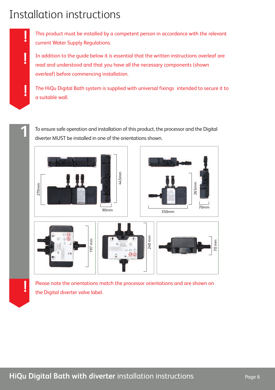# Installation instructions

**!**

**!**

This product must be installed by a competent person in accordance with the relevant current Water Supply Regulations.

In addition to the guide below it is essential that the written instructions overleaf are read and understood and that you have all the necessary components (shown overleaf) before commencing installation.

The HiQu Digital Bath system is supplied with universal fixings intended to secure it to a suitable wall.

To ensure safe operation and installation of this product, the processor and the Digital diverter MUST be installed in one of the orientations shown.



Please note the orientations match the processor orientations and are shown on the Digital diverter valve label. **!**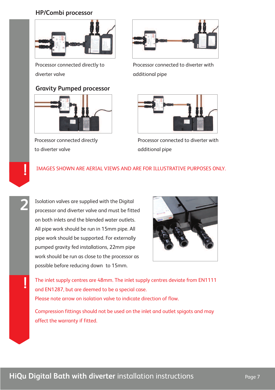#### **HP/Combi processor**



Processor connected directly to diverter valve

#### **Gravity Pumped processor**



Processor connected directly to diverter valve

**2**

**!**



Processor connected to diverter with additional pipe



Processor connected to diverter with additional pipe

#### IMAGES SHOWN ARE AERIAL VIEWS AND ARE FOR ILLUSTRATIVE PURPOSES ONLY. **!**

Isolation valves are supplied with the Digital processor and diverter valve and must be fitted on both inlets and the blended water outlets. All pipe work should be run in 15mm pipe. All pipe work should be supported. For externally pumped gravity fed installations, 22mm pipe work should be run as close to the processor as possible before reducing down to 15mm.



The inlet supply centres are 48mm. The inlet supply centres deviate from EN1111 and EN1287, but are deemed to be a special case. Please note arrow on isolation valve to indicate direction of flow.

Compression fittings should not be used on the inlet and outlet spigots and may affect the warranty if fitted.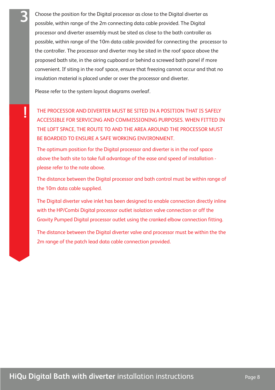Choose the position for the Digital processor as close to the Digital diverter as possible, within range of the 2m connecting data cable provided. The Digital processor and diverter assembly must be sited as close to the bath controller as possible, within range of the 10m data cable provided for connecting the processor to the controller. The processor and diverter may be sited in the roof space above the proposed bath site, in the airing cupboard or behind a screwed bath panel if more convenient. If siting in the roof space, ensure that freezing cannot occur and that no insulation material is placed under or over the processor and diverter.

Please refer to the system layout diagrams overleaf.

**3**

THE PROCESSOR AND DIVERTER MUST BE SITED IN A POSITION THAT IS SAFELY<br>ACCESSIBLE FOR SERVICING AND COMMISSIONING PURPOSES. WHEN FITTED IN THE LOFT SPACE, THE ROUTE TO AND THE AREA AROUND THE PROCESSOR MUST BE BOARDED TO ENSURE A SAFE WORKING ENVIRONMENT.

The optimum position for the Digital processor and diverter is in the roof space above the bath site to take full advantage of the ease and speed of installation please refer to the note above.

The distance between the Digital processor and bath control must be within range of the 10m data cable supplied.

The Digital diverter valve inlet has been designed to enable connection directly inline with the HP/Combi Digital processor outlet isolation valve connection or off the Gravity Pumped Digital processor outlet using the cranked elbow connection fitting.

The distance between the Digital diverter valve and processor must be within the the 2m range of the patch lead data cable connection provided.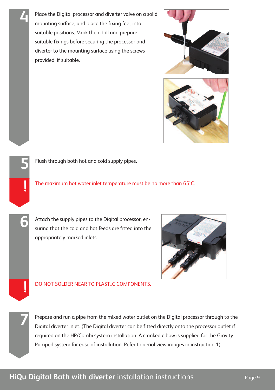Place the Digital processor and diverter valve on a solid mounting surface, and place the fixing feet into suitable positions. Mark then drill and prepare suitable fixings before securing the processor and diverter to the mounting surface using the screws provided, if suitable.

**4**

**5**

**!**

**6**

**!**

**7**

Flush through both hot and cold supply pipes.

The maximum hot water inlet temperature must be no more than 65˚C.

Attach the supply pipes to the Digital processor, ensuring that the cold and hot feeds are fitted into the appropriately marked inlets.

#### DO NOT SOLDER NEAR TO PLASTIC COMPONENTS.

Prepare and run a pipe from the mixed water outlet on the Digital processor through to the Digital diverter inlet. (The Digital diverter can be fitted directly onto the processor outlet if required on the HP/Combi system installation. A cranked elbow is supplied for the Gravity Pumped system for ease of installation. Refer to aerial view images in instruction 1).



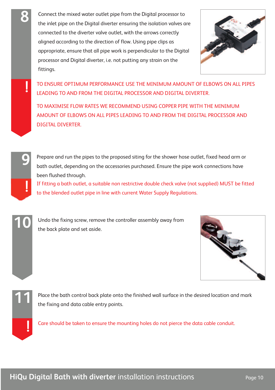Connect the mixed water outlet pipe from the Digital processor to the inlet pipe on the Digital diverter ensuring the isolation valves are connected to the diverter valve outlet, with the arrows correctly aligned according to the direction of flow. Using pipe clips as appropriate, ensure that all pipe work is perpendicular to the Digital processor and Digital diverter, i.e. not putting any strain on the fittings.



TO ENSURE OPTIMUM PERFORMANCE USE THE MINIMUM AMOUNT OF ELBOWS ON ALL PIPES LEADING TO AND FROM THE DIGITAL PROCESSOR AND DIGITAL DIVERTER.

TO MAXIMISE FLOW RATES WE RECOMMEND USING COPPER PIPE WITH THE MINIMUM AMOUNT OF ELBOWS ON ALL PIPES LEADING TO AND FROM THE DIGITAL PROCESSOR AND DIGITAL DIVERTER.



**8**

**!**

Prepare and run the pipes to the proposed siting for the shower hose outlet, fixed head arm or bath outlet, depending on the accessories purchased. Ensure the pipe work connections have been flushed through.

If fitting a bath outlet, a suitable non restrictive double check valve (not supplied) MUST be fitted to the blended outlet pipe in line with current Water Supply Regulations. **!**



**10** Undo the fixing screw, remove the controller assembly away from the back plate and set aside.





Place the bath control back plate onto the finished wall surface in the desired location and mark **11** the fixing and data cable entry points.

Care should be taken to ensure the mounting holes do not pierce the data cable conduit.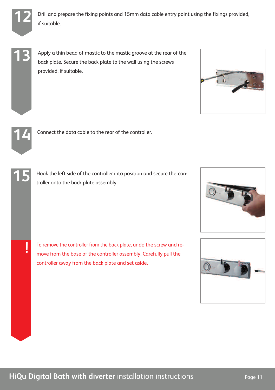

**12** Drill and prepare the fixing points and 15mm data cable entry point using the fixings provided, if suitable.

**13**

Apply a thin bead of mastic to the mastic groove at the rear of the back plate. Secure the back plate to the wall using the screws provided, if suitable.





Connect the data cable to the rear of the controller.

**!**

Hook the left side of the controller into position and secure the con-**15** troller onto the back plate assembly.

To remove the controller from the back plate, undo the screw and remove from the base of the controller assembly. Carefully pull the controller away from the back plate and set aside.



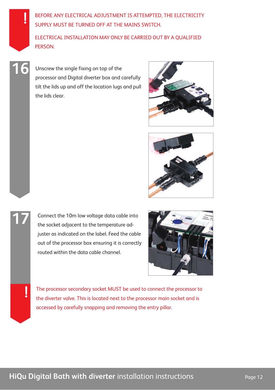BEFORE ANY ELECTRICAL ADJUSTMENT IS ATTEMPTED, THE ELECTRICITY SUPPLY MUST BE TURNED OFF AT THE MAINS SWITCH.

ELECTRICAL INSTALLATION MAY ONLY BE CARRIED OUT BY A QUALIFIED PERSON.

Unscrew the single fixing on top of the processor and Digital diverter box and carefully tilt the lids up and off the location lugs and pull the lids clear.

**16**

**!**

**!**





**17** Connect the 10m low voltage data cable into the socket adjacent to the temperature adjuster as indicated on the label. Feed the cable out of the processor box ensuring it is correctly routed within the data cable channel.



The processor secondary socket MUST be used to connect the processor to the diverter valve. This is located next to the processor main socket and is accessed by carefully snapping and removing the entry pillar.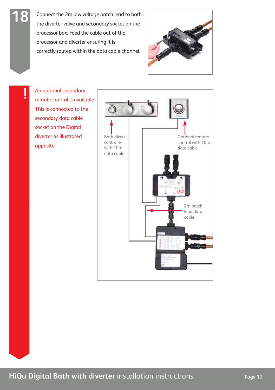Connect the 2m low voltage patch lead to both the diverter valve and secondary socket on the processor box. Feed the cable out of the processor and diverter ensuring it is correctly routed within the data cable channel.



An optional secondary remote control is available. This is connected to the secondary data cable socket on the Digital diverter as illustrated opposite.

**!**

**18**

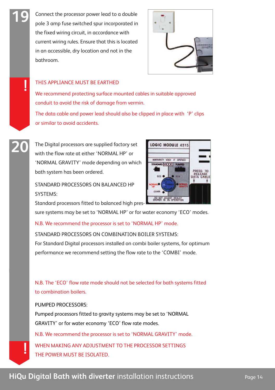Connect the processor power lead to a double pole 3 amp fuse switched spur incorporated in the fixed wiring circuit, in accordance with current wiring rules. Ensure that this is located in an accessible, dry location and not in the bathroom.



#### THIS APPLIANCE MUST BE EARTHED

**19**

**!**

We recommend protecting surface mounted cables in suitable approved conduit to avoid the risk of damage from vermin.

The data cable and power lead should also be clipped in place with 'P' clips or similar to avoid accidents.

The Digital processors are supplied factory set with the flow rate at either 'NORMAL HP' or 'NORMAL GRAVITY' mode depending on which bath system has been ordered. **20**

> STANDARD PROCESSORS ON BALANCED HP SYSTEMS:

Standard processors fitted to balanced high pres-

sure systems may be set to 'NORMAL HP' or for water economy 'ECO' modes.

N.B. We recommend the processor is set to 'NORMAL HP' mode.

#### STANDARD PROCESSORS ON COMBINATION BOILER SYSTEMS:

For Standard Digital processors installed on combi boiler systems, for optimum performance we recommend setting the flow rate to the 'COMBI' mode.

#### N.B. The 'ECO' flow rate mode should not be selected for bath systems fitted to combination boilers.

PUMPED PROCESSORS:

Pumped processors fitted to gravity systems may be set to 'NORMAL GRAVITY' or for water economy 'ECO' flow rate modes.

N.B. We recommend the processor is set to 'NORMAL GRAVITY' mode.

WHEN MAKING ANY ADJUSTMENT TO THE PROCESSOR SETTINGS THE POWER MUST BE ISOLATED. **!**

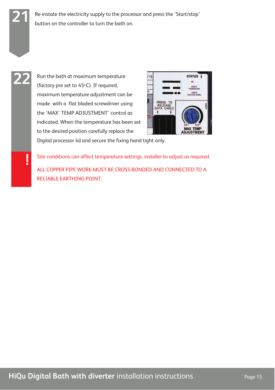**21** Re-instate the electricity supply to the processor and press the 'Start/stop' button on the controller to turn the bath on.

# **22**

**!**

(factory pre set to  $45^{\circ}$ C). If required, maximum temperature adjustment can be made with a flat bladed screwdriver using the 'MAX' TEMP ADJUSTMENT' control as indicated. When the temperature has been set to the desired position carefully replace the

Run the bath at maximum temperature



Digital processor lid and secure the fixing hand tight only.

Site conditions can affect temperature settings, installer to adjust as required.

ALL COPPER PIPE WORK MUST BE CROSS-BONDED AND CONNECTED TO A RELIABLE EARTHING POINT.